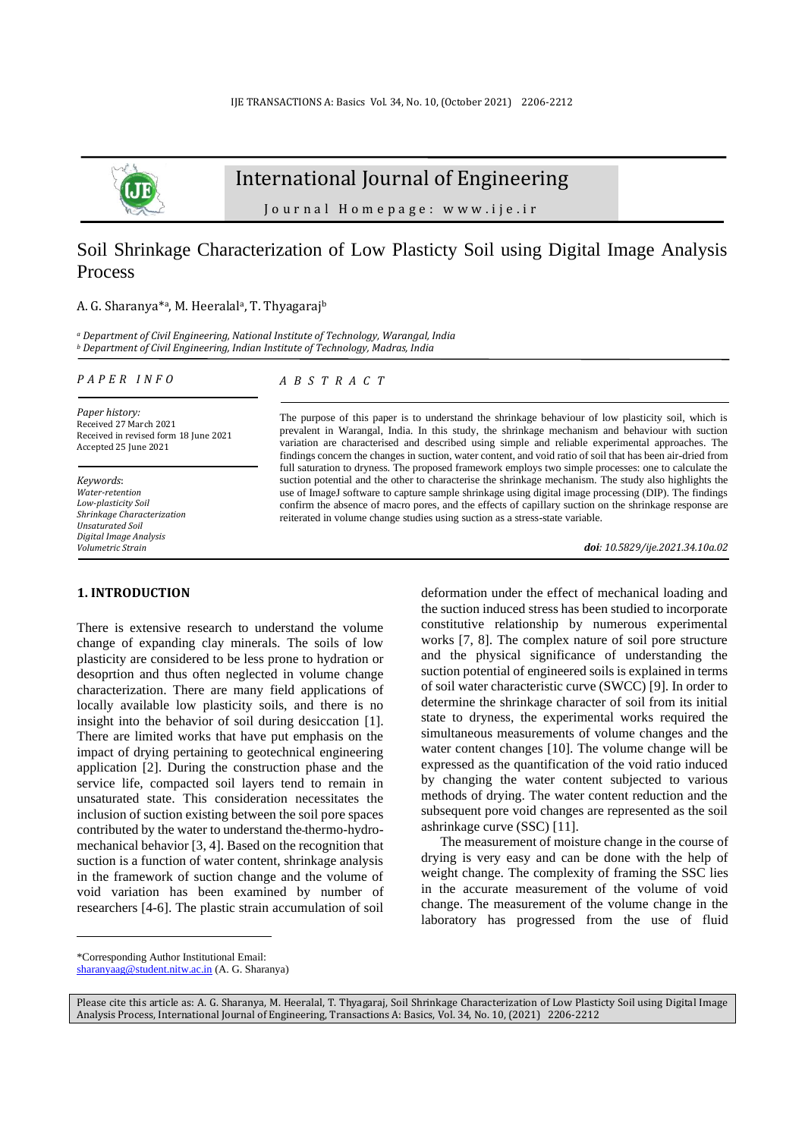

# International Journal of Engineering

J o u r n a l H o m e p a g e : w w w . i j e . i r

# Soil Shrinkage Characterization of Low Plasticty Soil using Digital Image Analysis Process

### A. G. Sharanya<sup>\*a</sup>, M. Heeralal<sup>a</sup>, T. Thyagaraj<sup>b</sup>

*<sup>a</sup> Department of Civil Engineering, National Institute of Technology, Warangal, India <sup>b</sup> Department of Civil Engineering, Indian Institute of Technology, Madras, India*

## *P A P E R I N F O*

*A B S T R A C T*

*Paper history:* Received 27 March 2021 Received in revised form 18 June 2021 Accepted 25 June 2021

*Keywords*: *Water-retention Low-plasticity Soil Shrinkage Characterization Unsaturated Soil Digital Image Analysis Volumetric Strain*

# **1. INTRODUCTION<sup>1</sup>**

There is extensive research to understand the volume change of expanding clay minerals. The soils of low plasticity are considered to be less prone to hydration or desoprtion and thus often neglected in volume change characterization. There are many field applications of locally available low plasticity soils, and there is no insight into the behavior of soil during desiccation [1]. There are limited works that have put emphasis on the impact of drying pertaining to geotechnical engineering application [2]. During the construction phase and the service life, compacted soil layers tend to remain in unsaturated state. This consideration necessitates the inclusion of suction existing between the soil pore spaces contributed by the water to understand the thermo-hydromechanical behavior [3, 4]. Based on the recognition that suction is a function of water content, shrinkage analysis in the framework of suction change and the volume of void variation has been examined by number of researchers [4-6]. The plastic strain accumulation of soil

The purpose of this paper is to understand the shrinkage behaviour of low plasticity soil, which is prevalent in Warangal, India. In this study, the shrinkage mechanism and behaviour with suction variation are characterised and described using simple and reliable experimental approaches. The findings concern the changes in suction, water content, and void ratio of soil that has been air-dried from full saturation to dryness. The proposed framework employs two simple processes: one to calculate the suction potential and the other to characterise the shrinkage mechanism. The study also highlights the use of ImageJ software to capture sample shrinkage using digital image processing (DIP). The findings confirm the absence of macro pores, and the effects of capillary suction on the shrinkage response are reiterated in volume change studies using suction as a stress-state variable.

*doi: 10.5829/ije.2021.34.10a.02*

deformation under the effect of mechanical loading and the suction induced stress has been studied to incorporate constitutive relationship by numerous experimental works [7, 8]. The complex nature of soil pore structure and the physical significance of understanding the suction potential of engineered soils is explained in terms of soil water characteristic curve (SWCC) [9]. In order to determine the shrinkage character of soil from its initial state to dryness, the experimental works required the simultaneous measurements of volume changes and the water content changes [10]. The volume change will be expressed as the quantification of the void ratio induced by changing the water content subjected to various methods of drying. The water content reduction and the subsequent pore void changes are represented as the soil ashrinkage curve (SSC) [11].

The measurement of moisture change in the course of drying is very easy and can be done with the help of weight change. The complexity of framing the SSC lies in the accurate measurement of the volume of void change. The measurement of the volume change in the laboratory has progressed from the use of fluid

<sup>\*</sup>Corresponding Author Institutional Email:

[sharanyaag@student.nitw.ac.in](mailto:sharanyaag@student.nitw.ac.in) (A. G. Sharanya)

Please cite this article as: A. G. Sharanya, M. Heeralal, T. Thyagaraj, Soil Shrinkage Characterization of Low Plasticty Soil using Digital Image Analysis Process, International Journal of Engineering, Transactions A: Basics, Vol. 34, No. 10, (2021) 2206-2212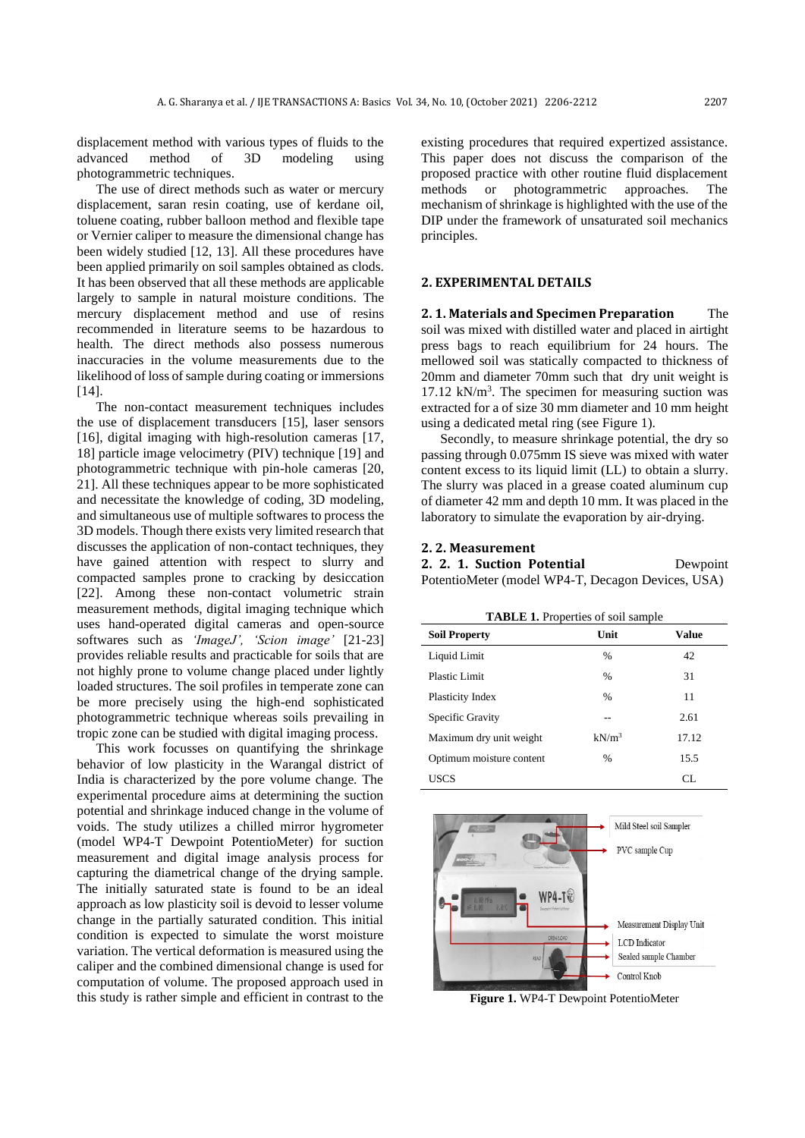displacement method with various types of fluids to the advanced method of 3D modeling using photogrammetric techniques.

The use of direct methods such as water or mercury displacement, saran resin coating, use of kerdane oil, toluene coating, rubber balloon method and flexible tape or Vernier caliper to measure the dimensional change has been widely studied [12, 13]. All these procedures have been applied primarily on soil samples obtained as clods. It has been observed that all these methods are applicable largely to sample in natural moisture conditions. The mercury displacement method and use of resins recommended in literature seems to be hazardous to health. The direct methods also possess numerous inaccuracies in the volume measurements due to the likelihood of loss of sample during coating or immersions [14].

The non-contact measurement techniques includes the use of displacement transducers [15], laser sensors [16], digital imaging with high-resolution cameras [17, 18] particle image velocimetry (PIV) technique [19] and photogrammetric technique with pin-hole cameras [20, 21]. All these techniques appear to be more sophisticated and necessitate the knowledge of coding, 3D modeling, and simultaneous use of multiple softwares to process the 3D models. Though there exists very limited research that discusses the application of non-contact techniques, they have gained attention with respect to slurry and compacted samples prone to cracking by desiccation [22]. Among these non-contact volumetric strain measurement methods, digital imaging technique which uses hand-operated digital cameras and open-source softwares such as *'ImageJ', 'Scion image'* [21-23] provides reliable results and practicable for soils that are not highly prone to volume change placed under lightly loaded structures. The soil profiles in temperate zone can be more precisely using the high-end sophisticated photogrammetric technique whereas soils prevailing in tropic zone can be studied with digital imaging process.

This work focusses on quantifying the shrinkage behavior of low plasticity in the Warangal district of India is characterized by the pore volume change. The experimental procedure aims at determining the suction potential and shrinkage induced change in the volume of voids. The study utilizes a chilled mirror hygrometer (model WP4-T Dewpoint PotentioMeter) for suction measurement and digital image analysis process for capturing the diametrical change of the drying sample. The initially saturated state is found to be an ideal approach as low plasticity soil is devoid to lesser volume change in the partially saturated condition. This initial condition is expected to simulate the worst moisture variation. The vertical deformation is measured using the caliper and the combined dimensional change is used for computation of volume. The proposed approach used in this study is rather simple and efficient in contrast to the

existing procedures that required expertized assistance. This paper does not discuss the comparison of the proposed practice with other routine fluid displacement methods or photogrammetric approaches. The mechanism of shrinkage is highlighted with the use of the DIP under the framework of unsaturated soil mechanics principles.

# **2. EXPERIMENTAL DETAILS**

**2. 1. Materials and Specimen Preparation** The soil was mixed with distilled water and placed in airtight press bags to reach equilibrium for 24 hours. The mellowed soil was statically compacted to thickness of 20mm and diameter 70mm such that dry unit weight is 17.12 kN/m<sup>3</sup> . The specimen for measuring suction was extracted for a of size 30 mm diameter and 10 mm height using a dedicated metal ring (see Figure 1).

Secondly, to measure shrinkage potential, the dry so passing through 0.075mm IS sieve was mixed with water content excess to its liquid limit (LL) to obtain a slurry. The slurry was placed in a grease coated aluminum cup of diameter 42 mm and depth 10 mm. It was placed in the laboratory to simulate the evaporation by air-drying.

## **2. 2. Measurement**

## **2. 2. 1. Suction Potential** Dewpoint PotentioMeter (model WP4-T, Decagon Devices, USA)

| <b>TABLE 1.</b> Properties of soil sample |               |       |
|-------------------------------------------|---------------|-------|
| <b>Soil Property</b>                      | Unit          | Value |
| Liquid Limit                              | $\frac{0}{0}$ | 42    |
| Plastic Limit                             | $\frac{0}{0}$ | 31    |
| Plasticity Index                          | $\frac{0}{0}$ | 11    |
| Specific Gravity                          |               | 2.61  |
| Maximum dry unit weight                   | $kN/m^3$      | 17.12 |
| Optimum moisture content                  | $\frac{0}{0}$ | 15.5  |
| USCS                                      |               | CL    |



**Figure 1.** WP4-T Dewpoint PotentioMeter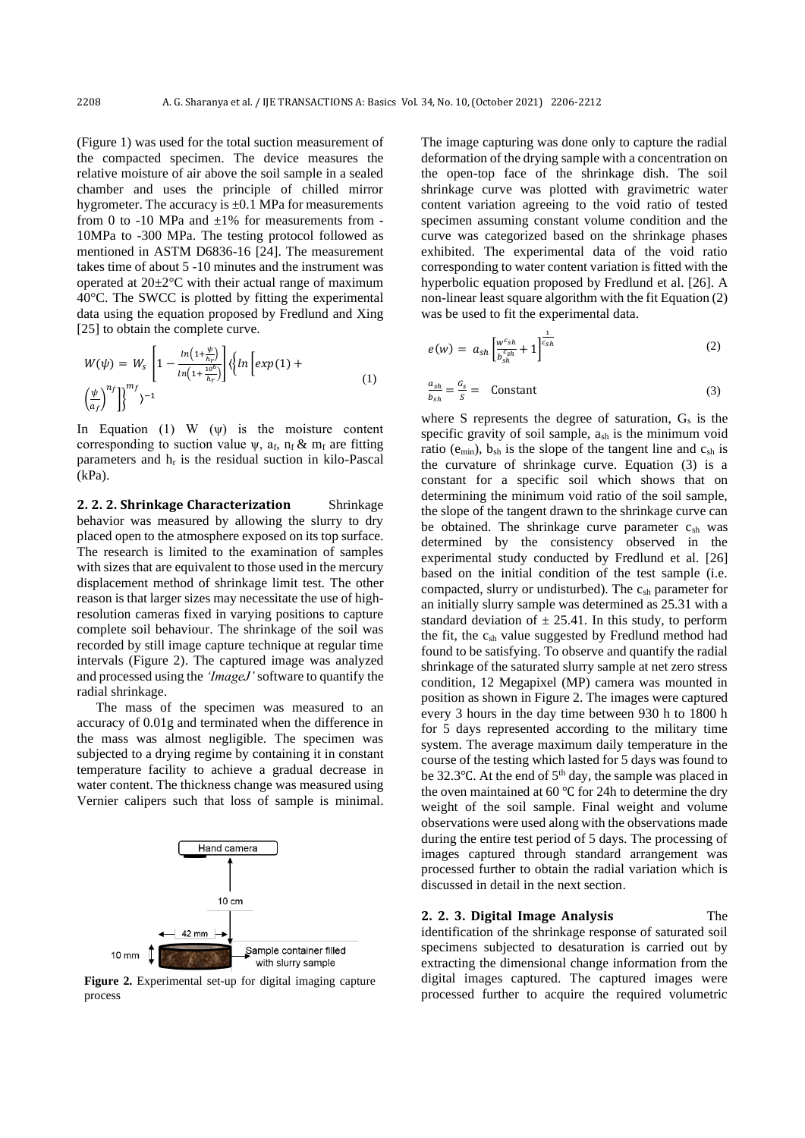(Figure 1) was used for the total suction measurement of the compacted specimen. The device measures the relative moisture of air above the soil sample in a sealed chamber and uses the principle of chilled mirror hygrometer. The accuracy is  $\pm 0.1$  MPa for measurements from 0 to -10 MPa and  $\pm 1\%$  for measurements from -10MPa to -300 MPa. The testing protocol followed as mentioned in ASTM D6836-16 [24]. The measurement takes time of about 5 -10 minutes and the instrument was operated at  $20 \pm 2^{\circ}$ C with their actual range of maximum 40°C. The SWCC is plotted by fitting the experimental data using the equation proposed by Fredlund and Xing [25] to obtain the complete curve.

$$
W(\psi) = W_s \left[ 1 - \frac{\ln\left(1 + \frac{\psi}{h_r}\right)}{\ln\left(1 + \frac{10^6}{h_r}\right)} \right] \left\langle \ln \left[ exp(1) + \left(\frac{\psi}{a_f}\right)^{n_f} \right] \right\rangle^{n_f}
$$
\n
$$
(1)
$$

In Equation (1) W  $(\psi)$  is the moisture content corresponding to suction value  $\psi$ , a<sub>f</sub>, n<sub>f</sub> & m<sub>f</sub> are fitting parameters and  $h_r$  is the residual suction in kilo-Pascal (kPa).

**2. 2. 2. Shrinkage Characterization** Shrinkage behavior was measured by allowing the slurry to dry placed open to the atmosphere exposed on its top surface. The research is limited to the examination of samples with sizes that are equivalent to those used in the mercury displacement method of shrinkage limit test. The other reason is that larger sizes may necessitate the use of highresolution cameras fixed in varying positions to capture complete soil behaviour. The shrinkage of the soil was recorded by still image capture technique at regular time intervals (Figure 2). The captured image was analyzed and processed using the *'ImageJ'* software to quantify the radial shrinkage.

The mass of the specimen was measured to an accuracy of 0.01g and terminated when the difference in the mass was almost negligible. The specimen was subjected to a drying regime by containing it in constant temperature facility to achieve a gradual decrease in water content. The thickness change was measured using Vernier calipers such that loss of sample is minimal.



**Figure 2.** Experimental set-up for digital imaging capture process

The image capturing was done only to capture the radial deformation of the drying sample with a concentration on the open-top face of the shrinkage dish. The soil shrinkage curve was plotted with gravimetric water content variation agreeing to the void ratio of tested specimen assuming constant volume condition and the curve was categorized based on the shrinkage phases exhibited. The experimental data of the void ratio corresponding to water content variation is fitted with the hyperbolic equation proposed by Fredlund et al. [26]. A non-linear least square algorithm with the fit Equation (2) was be used to fit the experimental data.

$$
e(w) = a_{sh} \left[ \frac{w^{c_{sh}}}{b_{sh}^{c_{sh}}} + 1 \right]^{1 \over c_{sh}} \tag{2}
$$

$$
\frac{a_{sh}}{b_{sh}} = \frac{c_s}{s} = \text{Constant}
$$
 (3)

where S represents the degree of saturation,  $G_s$  is the specific gravity of soil sample, ash is the minimum void ratio ( $e_{min}$ ),  $b_{sh}$  is the slope of the tangent line and  $c_{sh}$  is the curvature of shrinkage curve. Equation (3) is a constant for a specific soil which shows that on determining the minimum void ratio of the soil sample, the slope of the tangent drawn to the shrinkage curve can be obtained. The shrinkage curve parameter  $c_{sh}$  was determined by the consistency observed in the experimental study conducted by Fredlund et al. [26] based on the initial condition of the test sample (i.e. compacted, slurry or undisturbed). The c<sub>sh</sub> parameter for an initially slurry sample was determined as 25.31 with a standard deviation of  $\pm 25.41$ . In this study, to perform the fit, the  $c_{sh}$  value suggested by Fredlund method had found to be satisfying. To observe and quantify the radial shrinkage of the saturated slurry sample at net zero stress condition, 12 Megapixel (MP) camera was mounted in position as shown in Figure 2. The images were captured every 3 hours in the day time between 930 h to 1800 h for 5 days represented according to the military time system. The average maximum daily temperature in the course of the testing which lasted for 5 days was found to be 32.3℃. At the end of 5<sup>th</sup> day, the sample was placed in the oven maintained at 60 ℃ for 24h to determine the dry weight of the soil sample. Final weight and volume observations were used along with the observations made during the entire test period of 5 days. The processing of images captured through standard arrangement was processed further to obtain the radial variation which is discussed in detail in the next section.

**2. 2. 3. Digital Image Analysis** The

identification of the shrinkage response of saturated soil specimens subjected to desaturation is carried out by extracting the dimensional change information from the digital images captured. The captured images were processed further to acquire the required volumetric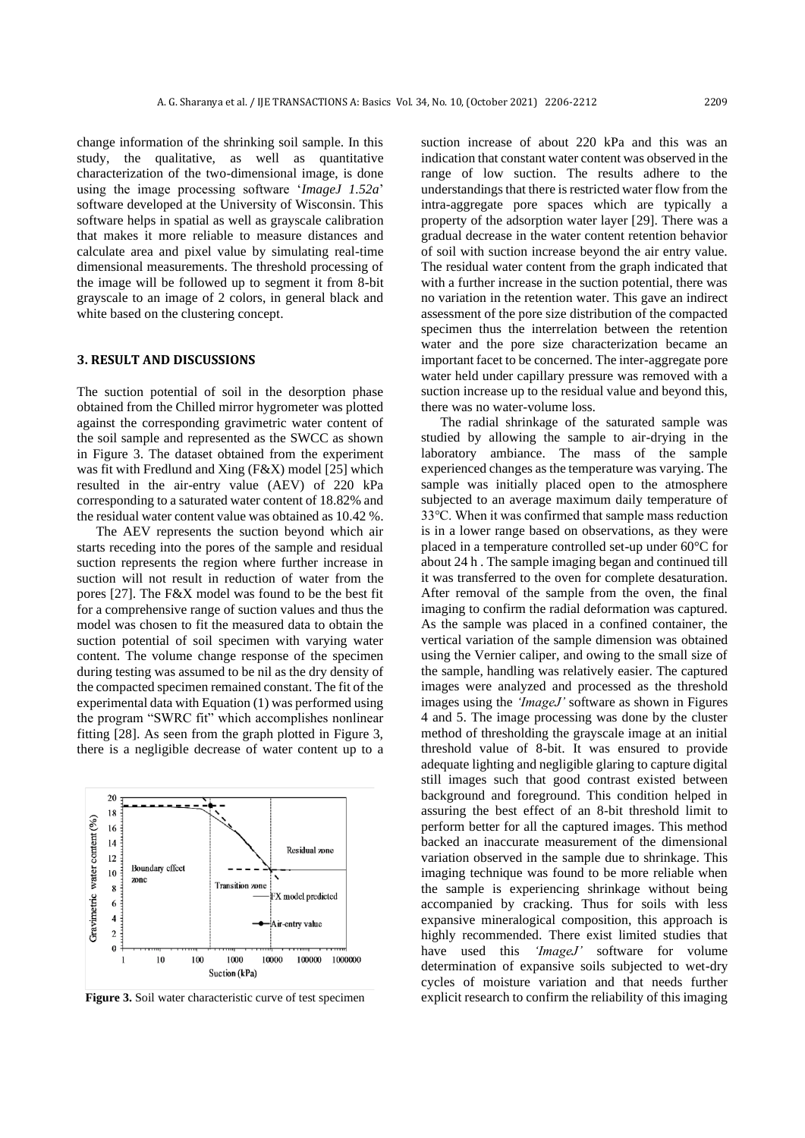change information of the shrinking soil sample. In this study, the qualitative, as well as quantitative characterization of the two-dimensional image, is done using the image processing software '*ImageJ 1.52a*' software developed at the University of Wisconsin. This software helps in spatial as well as grayscale calibration that makes it more reliable to measure distances and calculate area and pixel value by simulating real-time dimensional measurements. The threshold processing of the image will be followed up to segment it from 8-bit grayscale to an image of 2 colors, in general black and white based on the clustering concept.

#### **3. RESULT AND DISCUSSIONS**

The suction potential of soil in the desorption phase obtained from the Chilled mirror hygrometer was plotted against the corresponding gravimetric water content of the soil sample and represented as the SWCC as shown in Figure 3. The dataset obtained from the experiment was fit with Fredlund and Xing (F&X) model [25] which resulted in the air-entry value (AEV) of 220 kPa corresponding to a saturated water content of 18.82% and the residual water content value was obtained as 10.42 %.

The AEV represents the suction beyond which air starts receding into the pores of the sample and residual suction represents the region where further increase in suction will not result in reduction of water from the pores [27]. The F&X model was found to be the best fit for a comprehensive range of suction values and thus the model was chosen to fit the measured data to obtain the suction potential of soil specimen with varying water content. The volume change response of the specimen during testing was assumed to be nil as the dry density of the compacted specimen remained constant. The fit of the experimental data with Equation (1) was performed using the program "SWRC fit" which accomplishes nonlinear fitting [28]. As seen from the graph plotted in Figure 3, there is a negligible decrease of water content up to a



**Figure 3.** Soil water characteristic curve of test specimen

suction increase of about 220 kPa and this was an indication that constant water content was observed in the range of low suction. The results adhere to the understandings that there is restricted water flow from the intra-aggregate pore spaces which are typically a property of the adsorption water layer [29]. There was a gradual decrease in the water content retention behavior of soil with suction increase beyond the air entry value. The residual water content from the graph indicated that with a further increase in the suction potential, there was no variation in the retention water. This gave an indirect assessment of the pore size distribution of the compacted specimen thus the interrelation between the retention water and the pore size characterization became an important facet to be concerned. The inter-aggregate pore water held under capillary pressure was removed with a suction increase up to the residual value and beyond this, there was no water-volume loss.

The radial shrinkage of the saturated sample was studied by allowing the sample to air-drying in the laboratory ambiance. The mass of the sample experienced changes as the temperature was varying. The sample was initially placed open to the atmosphere subjected to an average maximum daily temperature of 33℃. When it was confirmed that sample mass reduction is in a lower range based on observations, as they were placed in a temperature controlled set-up under 60°C for about 24 h . The sample imaging began and continued till it was transferred to the oven for complete desaturation. After removal of the sample from the oven, the final imaging to confirm the radial deformation was captured. As the sample was placed in a confined container, the vertical variation of the sample dimension was obtained using the Vernier caliper, and owing to the small size of the sample, handling was relatively easier. The captured images were analyzed and processed as the threshold images using the *'ImageJ'* software as shown in Figures 4 and 5. The image processing was done by the cluster method of thresholding the grayscale image at an initial threshold value of 8-bit. It was ensured to provide adequate lighting and negligible glaring to capture digital still images such that good contrast existed between background and foreground. This condition helped in assuring the best effect of an 8-bit threshold limit to perform better for all the captured images. This method backed an inaccurate measurement of the dimensional variation observed in the sample due to shrinkage. This imaging technique was found to be more reliable when the sample is experiencing shrinkage without being accompanied by cracking. Thus for soils with less expansive mineralogical composition, this approach is highly recommended. There exist limited studies that have used this *'ImageJ'* software for volume determination of expansive soils subjected to wet-dry cycles of moisture variation and that needs further explicit research to confirm the reliability of this imaging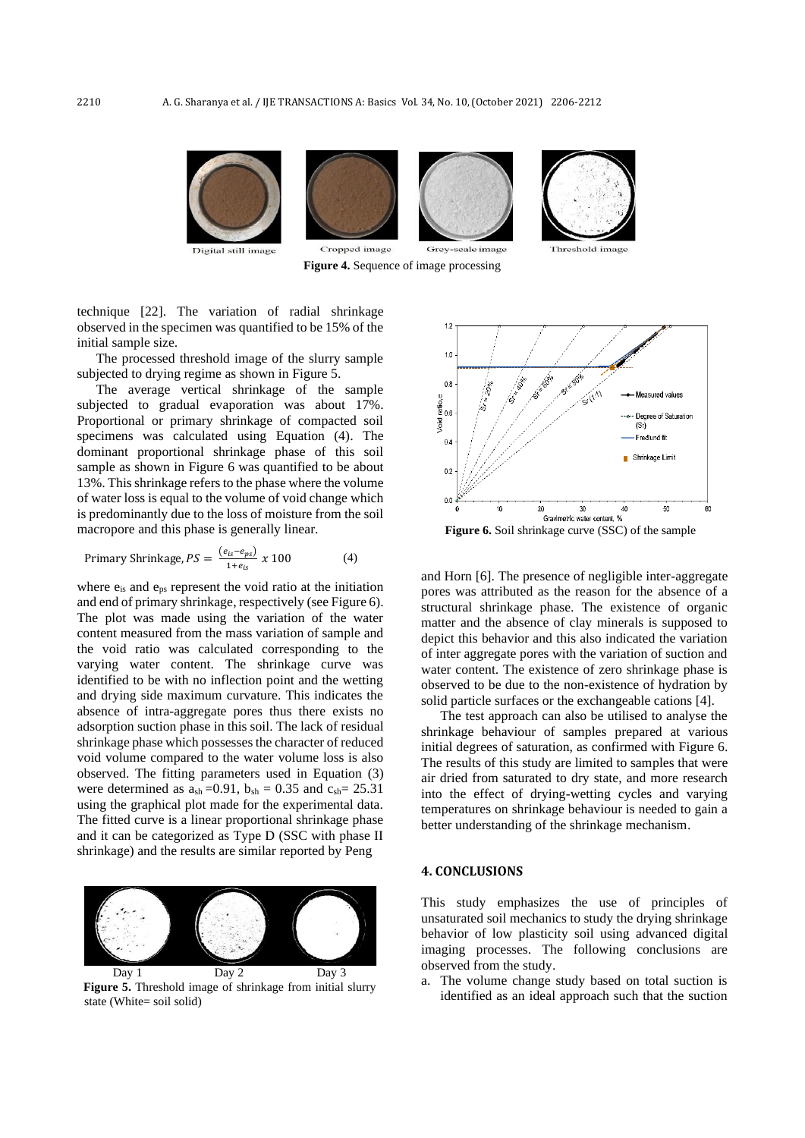

**Figure 4.** Sequence of image processing

technique [22]. The variation of radial shrinkage observed in the specimen was quantified to be 15% of the initial sample size.

The processed threshold image of the slurry sample subjected to drying regime as shown in Figure 5.

The average vertical shrinkage of the sample subjected to gradual evaporation was about 17%. Proportional or primary shrinkage of compacted soil specimens was calculated using Equation (4). The dominant proportional shrinkage phase of this soil sample as shown in Figure 6 was quantified to be about 13%. This shrinkage refers to the phase where the volume of water loss is equal to the volume of void change which is predominantly due to the loss of moisture from the soil macropore and this phase is generally linear.

$$
Primary Shrinkage, PS = \frac{(e_{is} - e_{ps})}{1 + e_{is}} \times 100
$$
\n(4)

where  $e_{is}$  and  $e_{ps}$  represent the void ratio at the initiation and end of primary shrinkage, respectively (see Figure 6). The plot was made using the variation of the water content measured from the mass variation of sample and the void ratio was calculated corresponding to the varying water content. The shrinkage curve was identified to be with no inflection point and the wetting and drying side maximum curvature. This indicates the absence of intra-aggregate pores thus there exists no adsorption suction phase in this soil. The lack of residual shrinkage phase which possesses the character of reduced void volume compared to the water volume loss is also observed. The fitting parameters used in Equation (3) were determined as  $a_{sh} = 0.91$ ,  $b_{sh} = 0.35$  and  $c_{sh} = 25.31$ using the graphical plot made for the experimental data. The fitted curve is a linear proportional shrinkage phase and it can be categorized as Type D (SSC with phase II shrinkage) and the results are similar reported by Peng



**Figure 5.** Threshold image of shrinkage from initial slurry state (White= soil solid)



**Figure 6.** Soil shrinkage curve (SSC) of the sample

and Horn [6]. The presence of negligible inter-aggregate pores was attributed as the reason for the absence of a structural shrinkage phase. The existence of organic matter and the absence of clay minerals is supposed to depict this behavior and this also indicated the variation of inter aggregate pores with the variation of suction and water content. The existence of zero shrinkage phase is observed to be due to the non-existence of hydration by solid particle surfaces or the exchangeable cations [4].

The test approach can also be utilised to analyse the shrinkage behaviour of samples prepared at various initial degrees of saturation, as confirmed with Figure 6. The results of this study are limited to samples that were air dried from saturated to dry state, and more research into the effect of drying-wetting cycles and varying temperatures on shrinkage behaviour is needed to gain a better understanding of the shrinkage mechanism.

#### **4. CONCLUSIONS**

This study emphasizes the use of principles of unsaturated soil mechanics to study the drying shrinkage behavior of low plasticity soil using advanced digital imaging processes. The following conclusions are observed from the study.

a. The volume change study based on total suction is identified as an ideal approach such that the suction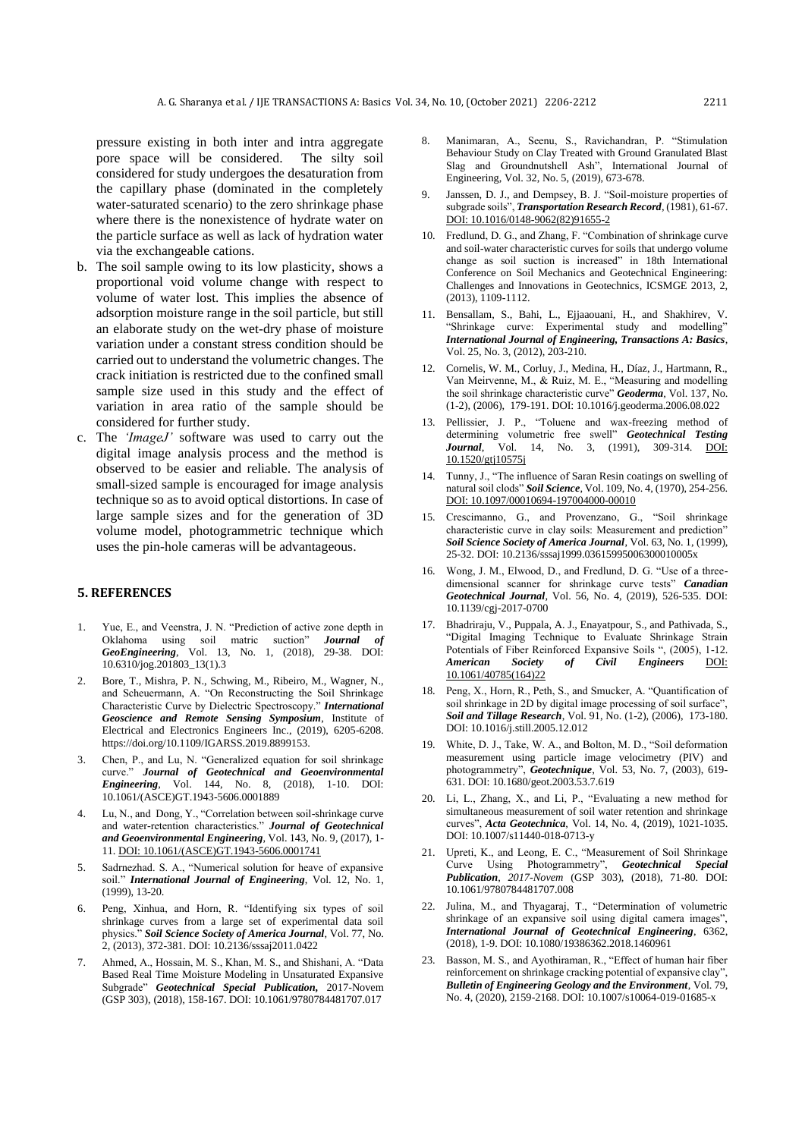pressure existing in both inter and intra aggregate pore space will be considered. The silty soil considered for study undergoes the desaturation from the capillary phase (dominated in the completely water-saturated scenario) to the zero shrinkage phase where there is the nonexistence of hydrate water on the particle surface as well as lack of hydration water via the exchangeable cations.

- b. The soil sample owing to its low plasticity, shows a proportional void volume change with respect to volume of water lost. This implies the absence of adsorption moisture range in the soil particle, but still an elaborate study on the wet-dry phase of moisture variation under a constant stress condition should be carried out to understand the volumetric changes. The crack initiation is restricted due to the confined small sample size used in this study and the effect of variation in area ratio of the sample should be considered for further study.
- c. The *'ImageJ'* software was used to carry out the digital image analysis process and the method is observed to be easier and reliable. The analysis of small-sized sample is encouraged for image analysis technique so as to avoid optical distortions. In case of large sample sizes and for the generation of 3D volume model, photogrammetric technique which uses the pin-hole cameras will be advantageous.

### **5. REFERENCES**

- 1. Yue, E., and Veenstra, J. N. "Prediction of active zone depth in Oklahoma using soil matric suction" *Journal of GeoEngineering*, Vol. 13, No. 1, (2018), 29-38. DOI: 10.6310/jog.201803\_13(1).3
- 2. Bore, T., Mishra, P. N., Schwing, M., Ribeiro, M., Wagner, N., and Scheuermann, A. "On Reconstructing the Soil Shrinkage Characteristic Curve by Dielectric Spectroscopy." *International Geoscience and Remote Sensing Symposium*, Institute of Electrical and Electronics Engineers Inc., (2019), 6205-6208. https://doi.org/10.1109/IGARSS.2019.8899153.
- 3. Chen, P., and Lu, N. "Generalized equation for soil shrinkage curve." *Journal of Geotechnical and Geoenvironmental Engineering*, Vol. 144, No. 8, (2018), 1-10. DOI: 10.1061/(ASCE)GT.1943-5606.0001889
- 4. Lu, N., and Dong, Y., "Correlation between soil-shrinkage curve and water-retention characteristics." *Journal of Geotechnical and Geoenvironmental Engineering*, Vol. 143, No. 9, (2017), 1- 11[. DOI: 10.1061/\(ASCE\)GT.1943-5606.0001741](https://doi.org/10.1061/(ASCE)GT.1943-5606.0001741)
- 5. Sadrnezhad. S. A., "Numerical solution for heave of expansive soil." *International Journal of Engineering*, Vol. 12, No. 1, (1999), 13-20.
- 6. Peng, Xinhua, and Horn, R. "Identifying six types of soil shrinkage curves from a large set of experimental data soil physics." *Soil Science Society of America Journal*, Vol. 77, No. 2, (2013), 372-381. DOI: 10.2136/sssaj2011.0422
- 7. Ahmed, A., Hossain, M. S., Khan, M. S., and Shishani, A. "Data Based Real Time Moisture Modeling in Unsaturated Expansive Subgrade" *Geotechnical Special Publication,* 2017-Novem (GSP 303), (2018), 158-167. DOI: 10.1061/9780784481707.017
- 8. Manimaran, A., Seenu, S., Ravichandran, P. "Stimulation Behaviour Study on Clay Treated with Ground Granulated Blast Slag and Groundnutshell Ash", International Journal of Engineering, Vol. 32, No. 5, (2019), 673-678.
- Janssen, D. J., and Dempsey, B. J. "Soil-moisture properties of subgrade soils", *Transportation Research Record*, (1981), 61-67. [DOI: 10.1016/0148-9062\(82\)91655-2](https://doi.org/10.1016/0148-9062(82)91655-2)
- 10. Fredlund, D. G., and Zhang, F. "Combination of shrinkage curve and soil-water characteristic curves for soils that undergo volume change as soil suction is increased" in 18th International Conference on Soil Mechanics and Geotechnical Engineering: Challenges and Innovations in Geotechnics*,* ICSMGE 2013, 2, (2013), 1109-1112.
- 11. Bensallam, S., Bahi, L., Ejjaaouani, H., and Shakhirev, V. "Shrinkage curve: Experimental study and modelling" *International Journal of Engineering, Transactions A: Basics*, Vol. 25, No. 3, (2012), 203-210.
- 12. Cornelis, W. M., Corluy, J., Medina, H., Díaz, J., Hartmann, R., Van Meirvenne, M., & Ruiz, M. E., "Measuring and modelling the soil shrinkage characteristic curve" *Geoderma*, Vol. 137, No. (1-2), (2006), 179-191. DOI: 10.1016/j.geoderma.2006.08.022
- 13. Pellissier, J. P., "Toluene and wax-freezing method of determining volumetric free swell" *Geotechnical Testing Journal*, Vol. 14, No. 3, (1991), 309-314. [DOI:](https://doi.org/10.1520/gtj10575j)  [10.1520/gtj10575j](https://doi.org/10.1520/gtj10575j)
- 14. Tunny, J., "The influence of Saran Resin coatings on swelling of natural soil clods" *Soil Science*, Vol. 109, No. 4, (1970), 254-256. [DOI: 10.1097/00010694-197004000-00010](https://doi.org/10.1097/00010694-197004000-00010)
- 15. Crescimanno, G., and Provenzano, G., "Soil shrinkage characteristic curve in clay soils: Measurement and prediction" *Soil Science Society of America Journal*, Vol. 63, No. 1, (1999), 25-32. DOI: 10.2136/sssaj1999.03615995006300010005x
- 16. Wong, J. M., Elwood, D., and Fredlund, D. G. "Use of a threedimensional scanner for shrinkage curve tests" *Canadian Geotechnical Journal,* Vol. 56, No. 4, (2019), 526-535. DOI: 10.1139/cgj-2017-0700
- 17. Bhadriraju, V., Puppala, A. J., Enayatpour, S., and Pathivada, S., "Digital Imaging Technique to Evaluate Shrinkage Strain Potentials of Fiber Reinforced Expansive Soils ", (2005), 1-12. *American Society of Civil Engineers* [DOI:](https://doi.org/10.1061/40785(164)22)  [10.1061/40785\(164\)22](https://doi.org/10.1061/40785(164)22)
- 18. Peng, X., Horn, R., Peth, S., and Smucker, A. "Quantification of soil shrinkage in 2D by digital image processing of soil surface", *Soil and Tillage Research*, Vol. 91, No. (1-2), (2006), 173-180. DOI: 10.1016/j.still.2005.12.012
- 19. White, D. J., Take, W. A., and Bolton, M. D., "Soil deformation measurement using particle image velocimetry (PIV) and photogrammetry", *Geotechnique*, Vol. 53, No. 7, (2003), 619- 631. DOI: 10.1680/geot.2003.53.7.619
- 20. Li, L., Zhang, X., and Li, P., "Evaluating a new method for simultaneous measurement of soil water retention and shrinkage curves", *Acta Geotechnica*, Vol. 14, No. 4, (2019), 1021-1035. DOI: 10.1007/s11440-018-0713-y
- 21. Upreti, K., and Leong, E. C., "Measurement of Soil Shrinkage Curve Using Photogrammetry", *Geotechnical Special Publication*, *2017*-*Novem* (GSP 303), (2018), 71-80. DOI: 10.1061/9780784481707.008
- 22. Julina, M., and Thyagaraj, T., "Determination of volumetric shrinkage of an expansive soil using digital camera images", *International Journal of Geotechnical Engineering*, 6362, (2018), 1-9. DOI: 10.1080/19386362.2018.1460961
- 23. Basson, M. S., and Ayothiraman, R., "Effect of human hair fiber reinforcement on shrinkage cracking potential of expansive clay", *Bulletin of Engineering Geology and the Environment*, Vol. 79, No. 4, (2020), 2159-2168. DOI: 10.1007/s10064-019-01685-x